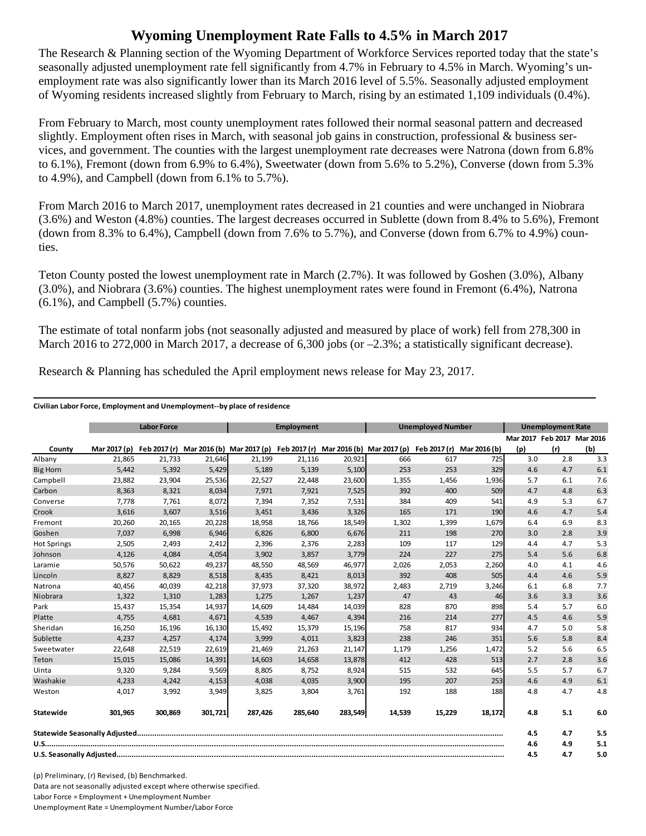## **Wyoming Unemployment Rate Falls to 4.5% in March 2017**

The Research & Planning section of the Wyoming Department of Workforce Services reported today that the state's seasonally adjusted unemployment rate fell significantly from 4.7% in February to 4.5% in March. Wyoming's unemployment rate was also significantly lower than its March 2016 level of 5.5%. Seasonally adjusted employment of Wyoming residents increased slightly from February to March, rising by an estimated 1,109 individuals (0.4%).

From February to March, most county unemployment rates followed their normal seasonal pattern and decreased slightly. Employment often rises in March, with seasonal job gains in construction, professional & business services, and government. The counties with the largest unemployment rate decreases were Natrona (down from 6.8% to 6.1%), Fremont (down from 6.9% to 6.4%), Sweetwater (down from 5.6% to 5.2%), Converse (down from 5.3% to 4.9%), and Campbell (down from 6.1% to 5.7%).

From March 2016 to March 2017, unemployment rates decreased in 21 counties and were unchanged in Niobrara (3.6%) and Weston (4.8%) counties. The largest decreases occurred in Sublette (down from 8.4% to 5.6%), Fremont (down from 8.3% to 6.4%), Campbell (down from 7.6% to 5.7%), and Converse (down from 6.7% to 4.9%) counties.

Teton County posted the lowest unemployment rate in March (2.7%). It was followed by Goshen (3.0%), Albany (3.0%), and Niobrara (3.6%) counties. The highest unemployment rates were found in Fremont (6.4%), Natrona  $(6.1\%)$ , and Campbell  $(5.7\%)$  counties.

The estimate of total nonfarm jobs (not seasonally adjusted and measured by place of work) fell from 278,300 in March 2016 to 272,000 in March 2017, a decrease of 6,300 jobs (or  $-2.3\%$ ; a statistically significant decrease).

|                    | <b>Labor Force</b> |         |         | <b>Employment</b>                                                             |         |         | <b>Unemployed Number</b> |              |              | <b>Unemployment Rate</b> |                            |     |
|--------------------|--------------------|---------|---------|-------------------------------------------------------------------------------|---------|---------|--------------------------|--------------|--------------|--------------------------|----------------------------|-----|
|                    |                    |         |         |                                                                               |         |         |                          |              |              |                          | Mar 2017 Feb 2017 Mar 2016 |     |
| County             | Mar 2017 (p)       |         |         | Feb 2017 (r) Mar 2016 (b) Mar 2017 (p) Feb 2017 (r) Mar 2016 (b) Mar 2017 (p) |         |         |                          | Feb 2017 (r) | Mar 2016 (b) | (p)                      | (r)                        | (b) |
| Albany             | 21,865             | 21,733  | 21,646  | 21,199                                                                        | 21,116  | 20,921  | 666                      | 617          | 725          | 3.0                      | 2.8                        | 3.3 |
| <b>Big Horn</b>    | 5,442              | 5,392   | 5,429   | 5,189                                                                         | 5,139   | 5,100   | 253                      | 253          | 329          | 4.6                      | 4.7                        | 6.1 |
| Campbell           | 23,882             | 23,904  | 25,536  | 22,527                                                                        | 22,448  | 23,600  | 1,355                    | 1,456        | 1,936        | 5.7                      | 6.1                        | 7.6 |
| Carbon             | 8,363              | 8,321   | 8,034   | 7,971                                                                         | 7,921   | 7,525   | 392                      | 400          | 509          | 4.7                      | 4.8                        | 6.3 |
| Converse           | 7,778              | 7,761   | 8,072   | 7,394                                                                         | 7,352   | 7,531   | 384                      | 409          | 541          | 4.9                      | 5.3                        | 6.7 |
| Crook              | 3,616              | 3,607   | 3,516   | 3,451                                                                         | 3,436   | 3,326   | 165                      | 171          | 190          | 4.6                      | 4.7                        | 5.4 |
| Fremont            | 20,260             | 20,165  | 20,228  | 18,958                                                                        | 18,766  | 18,549  | 1,302                    | 1,399        | 1,679        | 6.4                      | 6.9                        | 8.3 |
| Goshen             | 7.037              | 6,998   | 6,946   | 6,826                                                                         | 6,800   | 6,676   | 211                      | 198          | 270          | 3.0                      | 2.8                        | 3.9 |
| <b>Hot Springs</b> | 2,505              | 2,493   | 2,412   | 2,396                                                                         | 2,376   | 2,283   | 109                      | 117          | 129          | 4.4                      | 4.7                        | 5.3 |
| Johnson            | 4,126              | 4,084   | 4,054   | 3,902                                                                         | 3,857   | 3,779   | 224                      | 227          | 275          | 5.4                      | 5.6                        | 6.8 |
| Laramie            | 50,576             | 50,622  | 49,237  | 48,550                                                                        | 48,569  | 46,977  | 2,026                    | 2,053        | 2,260        | 4.0                      | 4.1                        | 4.6 |
| Lincoln            | 8,827              | 8,829   | 8,518   | 8,435                                                                         | 8,421   | 8,013   | 392                      | 408          | 505          | 4.4                      | 4.6                        | 5.9 |
| Natrona            | 40,456             | 40,039  | 42,218  | 37,973                                                                        | 37,320  | 38,972  | 2,483                    | 2,719        | 3,246        | 6.1                      | 6.8                        | 7.7 |
| Niobrara           | 1,322              | 1,310   | 1,283   | 1,275                                                                         | 1,267   | 1,237   | 47                       | 43           | 46           | 3.6                      | 3.3                        | 3.6 |
| Park               | 15,437             | 15,354  | 14,937  | 14,609                                                                        | 14,484  | 14,039  | 828                      | 870          | 898          | 5.4                      | 5.7                        | 6.0 |
| Platte             | 4,755              | 4,681   | 4,671   | 4,539                                                                         | 4,467   | 4,394   | 216                      | 214          | 277          | 4.5                      | 4.6                        | 5.9 |
| Sheridan           | 16,250             | 16,196  | 16,130  | 15,492                                                                        | 15,379  | 15,196  | 758                      | 817          | 934          | 4.7                      | 5.0                        | 5.8 |
| Sublette           | 4,237              | 4,257   | 4,174   | 3,999                                                                         | 4,011   | 3,823   | 238                      | 246          | 351          | 5.6                      | 5.8                        | 8.4 |
| Sweetwater         | 22,648             | 22,519  | 22,619  | 21,469                                                                        | 21,263  | 21,147  | 1,179                    | 1,256        | 1,472        | 5.2                      | 5.6                        | 6.5 |
| Teton              | 15,015             | 15,086  | 14,391  | 14.603                                                                        | 14,658  | 13,878  | 412                      | 428          | 513          | 2.7                      | 2.8                        | 3.6 |
| Uinta              | 9,320              | 9,284   | 9,569   | 8,805                                                                         | 8,752   | 8,924   | 515                      | 532          | 645          | 5.5                      | 5.7                        | 6.7 |
| Washakie           | 4,233              | 4,242   | 4,153   | 4,038                                                                         | 4,035   | 3,900   | 195                      | 207          | 253          | 4.6                      | 4.9                        | 6.1 |
| Weston             | 4,017              | 3,992   | 3,949   | 3,825                                                                         | 3,804   | 3,761   | 192                      | 188          | 188          | 4.8                      | 4.7                        | 4.8 |
| Statewide          | 301.965            | 300.869 | 301,721 | 287.426                                                                       | 285.640 | 283,549 | 14,539                   | 15,229       | 18,172       | 4.8                      | 5.1                        | 6.0 |
|                    |                    |         |         |                                                                               |         |         |                          | 4.5          | 4.7          | 5.5                      |                            |     |
|                    |                    |         |         |                                                                               |         |         |                          | 4.6          | 4.9          | 5.1                      |                            |     |
|                    |                    |         |         |                                                                               |         |         |                          | 4.5          | 4.7          | 5.0                      |                            |     |

Research & Planning has scheduled the April employment news release for May 23, 2017.

## **Civilian Labor Force, Employment and Unemployment‐‐by place of residence**

(p) Preliminary, (r) Revised, (b) Benchmarked. Data are not seasonally adjusted except where otherwise specified.

Labor Force = Employment + Unemployment Number

Unemployment Rate = Unemployment Number/Labor Force